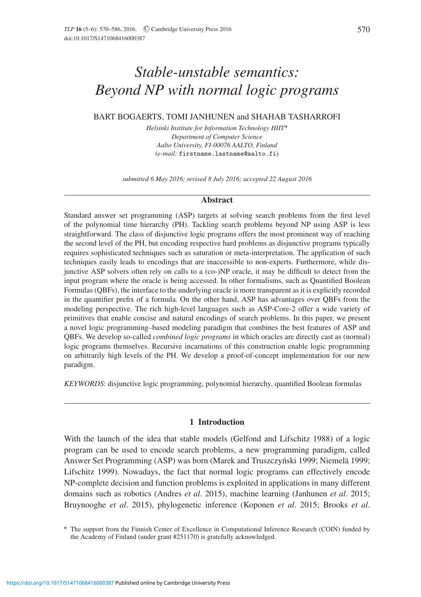# *Stable-unstable semantics: Beyond NP with normal logic programs*

# BART BOGAERTS, TOMI JANHUNEN and SHAHAB TASHARROFI

*Helsinki Institute for Information Technology HIIT*-*Department of Computer Science Aalto University, FI-00076 AALTO, Finland* (*e-mail:* firstname.lastname@aalto.fi)

*submitted 6 May 2016; revised 8 July 2016; accepted 22 August 2016*

# **Abstract**

Standard answer set programming (ASP) targets at solving search problems from the first level of the polynomial time hierarchy (PH). Tackling search problems beyond NP using ASP is less straightforward. The class of disjunctive logic programs offers the most prominent way of reaching the second level of the PH, but encoding respective hard problems as disjunctive programs typically requires sophisticated techniques such as saturation or meta-interpretation. The application of such techniques easily leads to encodings that are inaccessible to non-experts. Furthermore, while disjunctive ASP solvers often rely on calls to a (co-)NP oracle, it may be difficult to detect from the input program where the oracle is being accessed. In other formalisms, such as Quantified Boolean Formulas (QBFs), the interface to the underlying oracle is more transparent as it is explicitly recorded in the quantifier prefix of a formula. On the other hand, ASP has advantages over QBFs from the modeling perspective. The rich high-level languages such as ASP-Core-2 offer a wide variety of primitives that enable concise and natural encodings of search problems. In this paper, we present a novel logic programming–based modeling paradigm that combines the best features of ASP and QBFs. We develop so-called *combined logic programs* in which oracles are directly cast as (normal) logic programs themselves. Recursive incarnations of this construction enable logic programming on arbitrarily high levels of the PH. We develop a proof-of-concept implementation for our new paradigm.

*KEYWORDS*: disjunctive logic programming, polynomial hierarchy, quantified Boolean formulas

# **1 Introduction**

With the launch of the idea that stable models (Gelfond and Lifschitz 1988) of a logic program can be used to encode search problems, a new programming paradigm, called Answer Set Programming (ASP) was born (Marek and Truszczyński 1999; Niemelä 1999; Lifschitz 1999). Nowadays, the fact that normal logic programs can effectively encode NP-complete decision and function problems is exploited in applications in many different domains such as robotics (Andres *et al*. 2015), machine learning (Janhunen *et al*. 2015; Bruynooghe *et al*. 2015), phylogenetic inference (Koponen *et al*. 2015; Brooks *et al*.

<sup>-</sup> The support from the Finnish Center of Excellence in Computational Inference Research (COIN) funded by the Academy of Finland (under grant #251170) is gratefully acknowledged.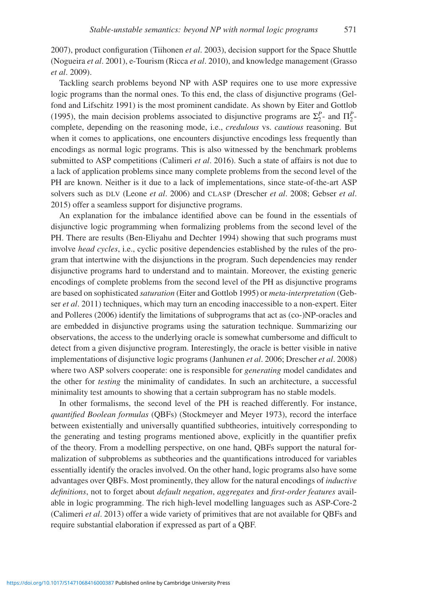2007), product configuration (Tiihonen *et al*. 2003), decision support for the Space Shuttle (Nogueira *et al*. 2001), e-Tourism (Ricca *et al*. 2010), and knowledge management (Grasso *et al*. 2009).

Tackling search problems beyond NP with ASP requires one to use more expressive logic programs than the normal ones. To this end, the class of disjunctive programs (Gelfond and Lifschitz 1991) is the most prominent candidate. As shown by Eiter and Gottlob (1995), the main decision problems associated to disjunctive programs are  $\Sigma_2^P$ - and  $\Pi_2^P$ complete, depending on the reasoning mode, i.e., *credulous* vs. *cautious* reasoning. But when it comes to applications, one encounters disjunctive encodings less frequently than encodings as normal logic programs. This is also witnessed by the benchmark problems submitted to ASP competitions (Calimeri *et al*. 2016). Such a state of affairs is not due to a lack of application problems since many complete problems from the second level of the PH are known. Neither is it due to a lack of implementations, since state-of-the-art ASP solvers such as DLV (Leone *et al*. 2006) and CLASP (Drescher *et al*. 2008; Gebser *et al*. 2015) offer a seamless support for disjunctive programs.

An explanation for the imbalance identified above can be found in the essentials of disjunctive logic programming when formalizing problems from the second level of the PH. There are results (Ben-Eliyahu and Dechter 1994) showing that such programs must involve *head cycles*, i.e., cyclic positive dependencies established by the rules of the program that intertwine with the disjunctions in the program. Such dependencies may render disjunctive programs hard to understand and to maintain. Moreover, the existing generic encodings of complete problems from the second level of the PH as disjunctive programs are based on sophisticated *saturation* (Eiter and Gottlob 1995) or *meta-interpretation* (Gebser *et al*. 2011) techniques, which may turn an encoding inaccessible to a non-expert. Eiter and Polleres (2006) identify the limitations of subprograms that act as (co-)NP-oracles and are embedded in disjunctive programs using the saturation technique. Summarizing our observations, the access to the underlying oracle is somewhat cumbersome and difficult to detect from a given disjunctive program. Interestingly, the oracle is better visible in native implementations of disjunctive logic programs (Janhunen *et al*. 2006; Drescher *et al*. 2008) where two ASP solvers cooperate: one is responsible for *generating* model candidates and the other for *testing* the minimality of candidates. In such an architecture, a successful minimality test amounts to showing that a certain subprogram has no stable models.

In other formalisms, the second level of the PH is reached differently. For instance, *quantified Boolean formulas* (QBFs) (Stockmeyer and Meyer 1973), record the interface between existentially and universally quantified subtheories, intuitively corresponding to the generating and testing programs mentioned above, explicitly in the quantifier prefix of the theory. From a modelling perspective, on one hand, QBFs support the natural formalization of subproblems as subtheories and the quantifications introduced for variables essentially identify the oracles involved. On the other hand, logic programs also have some advantages over QBFs. Most prominently, they allow for the natural encodings of *inductive definitions*, not to forget about *default negation*, *aggregates* and *first-order features* available in logic programming. The rich high-level modelling languages such as ASP-Core-2 (Calimeri *et al*. 2013) offer a wide variety of primitives that are not available for QBFs and require substantial elaboration if expressed as part of a QBF.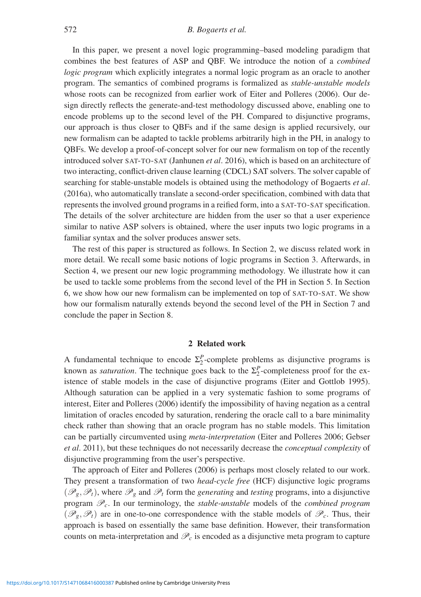In this paper, we present a novel logic programming–based modeling paradigm that combines the best features of ASP and QBF. We introduce the notion of a *combined logic program* which explicitly integrates a normal logic program as an oracle to another program. The semantics of combined programs is formalized as *stable-unstable models* whose roots can be recognized from earlier work of Eiter and Polleres (2006). Our design directly reflects the generate-and-test methodology discussed above, enabling one to encode problems up to the second level of the PH. Compared to disjunctive programs, our approach is thus closer to QBFs and if the same design is applied recursively, our new formalism can be adapted to tackle problems arbitrarily high in the PH, in analogy to QBFs. We develop a proof-of-concept solver for our new formalism on top of the recently introduced solver SAT-TO-SAT (Janhunen *et al*. 2016), which is based on an architecture of two interacting, conflict-driven clause learning (CDCL) SAT solvers. The solver capable of searching for stable-unstable models is obtained using the methodology of Bogaerts *et al*. (2016a), who automatically translate a second-order specification, combined with data that represents the involved ground programs in a reified form, into a SAT-TO-SAT specification. The details of the solver architecture are hidden from the user so that a user experience similar to native ASP solvers is obtained, where the user inputs two logic programs in a familiar syntax and the solver produces answer sets.

The rest of this paper is structured as follows. In Section 2, we discuss related work in more detail. We recall some basic notions of logic programs in Section 3. Afterwards, in Section 4, we present our new logic programming methodology. We illustrate how it can be used to tackle some problems from the second level of the PH in Section 5. In Section 6, we show how our new formalism can be implemented on top of SAT-TO-SAT. We show how our formalism naturally extends beyond the second level of the PH in Section 7 and conclude the paper in Section 8.

# **2 Related work**

A fundamental technique to encode  $\Sigma_2^P$ -complete problems as disjunctive programs is known as *saturation*. The technique goes back to the  $\Sigma_2^P$ -completeness proof for the existence of stable models in the case of disjunctive programs (Eiter and Gottlob 1995). Although saturation can be applied in a very systematic fashion to some programs of interest, Eiter and Polleres (2006) identify the impossibility of having negation as a central limitation of oracles encoded by saturation, rendering the oracle call to a bare minimality check rather than showing that an oracle program has no stable models. This limitation can be partially circumvented using *meta-interpretation* (Eiter and Polleres 2006; Gebser *et al*. 2011), but these techniques do not necessarily decrease the *conceptual complexity* of disjunctive programming from the user's perspective.

The approach of Eiter and Polleres (2006) is perhaps most closely related to our work. They present a transformation of two *head-cycle free* (HCF) disjunctive logic programs  $(\mathscr{P}_g, \mathscr{P}_t)$ , where  $\mathscr{P}_g$  and  $\mathscr{P}_t$  form the *generating* and *testing* programs, into a disjunctive program P*c*. In our terminology, the *stable-unstable* models of the *combined program*  $(\mathscr{P}_g, \mathscr{P}_t)$  are in one-to-one correspondence with the stable models of  $\mathscr{P}_c$ . Thus, their approach is based on essentially the same base definition. However, their transformation counts on meta-interpretation and  $\mathcal{P}_c$  is encoded as a disjunctive meta program to capture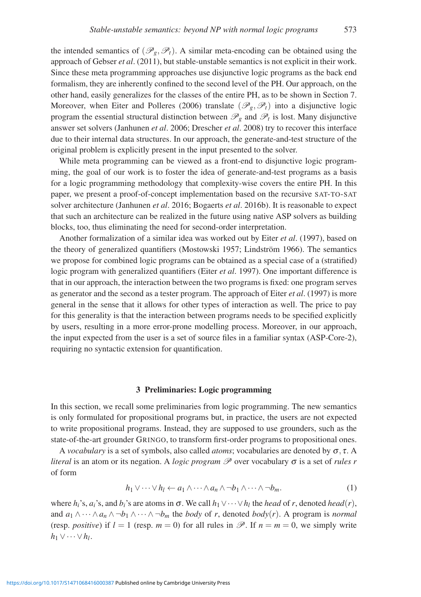the intended semantics of  $(\mathscr{P}_{\rho}, \mathscr{P}_{t})$ . A similar meta-encoding can be obtained using the approach of Gebser *et al*. (2011), but stable-unstable semantics is not explicit in their work. Since these meta programming approaches use disjunctive logic programs as the back end formalism, they are inherently confined to the second level of the PH. Our approach, on the other hand, easily generalizes for the classes of the entire PH, as to be shown in Section 7. Moreover, when Eiter and Polleres (2006) translate ( $\mathcal{P}_{g}, \mathcal{P}_{t}$ ) into a disjunctive logic program the essential structural distinction between  $\mathcal{P}_g$  and  $\mathcal{P}_t$  is lost. Many disjunctive answer set solvers (Janhunen *et al*. 2006; Drescher *et al*. 2008) try to recover this interface due to their internal data structures. In our approach, the generate-and-test structure of the original problem is explicitly present in the input presented to the solver.

While meta programming can be viewed as a front-end to disjunctive logic programming, the goal of our work is to foster the idea of generate-and-test programs as a basis for a logic programming methodology that complexity-wise covers the entire PH. In this paper, we present a proof-of-concept implementation based on the recursive SAT-TO-SAT solver architecture (Janhunen *et al*. 2016; Bogaerts *et al*. 2016b). It is reasonable to expect that such an architecture can be realized in the future using native ASP solvers as building blocks, too, thus eliminating the need for second-order interpretation.

Another formalization of a similar idea was worked out by Eiter *et al*. (1997), based on the theory of generalized quantifiers (Mostowski 1957; Lindström 1966). The semantics we propose for combined logic programs can be obtained as a special case of a (stratified) logic program with generalized quantifiers (Eiter *et al*. 1997). One important difference is that in our approach, the interaction between the two programs is fixed: one program serves as generator and the second as a tester program. The approach of Eiter *et al*. (1997) is more general in the sense that it allows for other types of interaction as well. The price to pay for this generality is that the interaction between programs needs to be specified explicitly by users, resulting in a more error-prone modelling process. Moreover, in our approach, the input expected from the user is a set of source files in a familiar syntax (ASP-Core-2), requiring no syntactic extension for quantification.

# **3 Preliminaries: Logic programming**

In this section, we recall some preliminaries from logic programming. The new semantics is only formulated for propositional programs but, in practice, the users are not expected to write propositional programs. Instead, they are supposed to use grounders, such as the state-of-the-art grounder GRINGO, to transform first-order programs to propositional ones.

A *vocabulary* is a set of symbols, also called *atoms*; vocabularies are denoted by <sup>σ</sup>, <sup>τ</sup>. A *literal* is an atom or its negation. A *logic program*  $\mathcal P$  over vocabulary σ is a set of *rules r* of form

$$
h_1 \vee \cdots \vee h_l \leftarrow a_1 \wedge \cdots \wedge a_n \wedge \neg b_1 \wedge \cdots \wedge \neg b_m. \tag{1}
$$

where  $h_i$ 's,  $a_i$ 's, and  $b_i$ 's are atoms in  $\sigma$ . We call  $h_1 \vee \cdots \vee h_l$  the *head* of *r*, denoted *head*(*r*), and  $a_1 \wedge \cdots \wedge a_n \wedge \neg b_1 \wedge \cdots \wedge \neg b_m$  the *body* of *r*, denoted *body*(*r*). A program is *normal* (resp. *positive*) if  $l = 1$  (resp.  $m = 0$ ) for all rules in  $\mathcal{P}$ . If  $n = m = 0$ , we simply write  $h_1 \vee \cdots \vee h_l$ .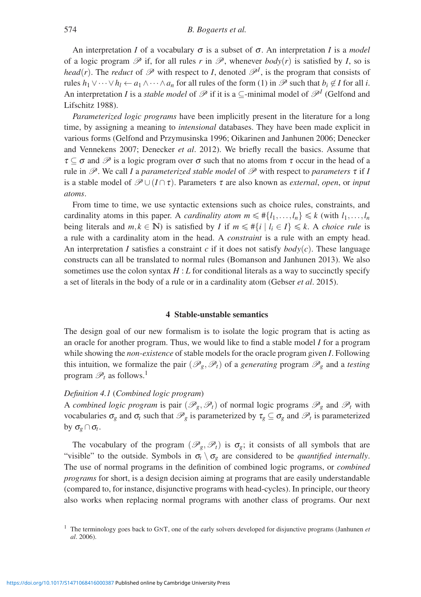An interpretation *I* of a vocabulary  $\sigma$  is a subset of  $\sigma$ . An interpretation *I* is a *model* of a logic program  $\mathscr P$  if, for all rules r in  $\mathscr P$ , whenever  $body(r)$  is satisfied by I, so is *head*(*r*). The *reduct* of  $\mathcal{P}$  with respect to *I*, denoted  $\mathcal{P}^I$ , is the program that consists of rules  $h_1 \vee \cdots \vee h_l \leftarrow a_1 \wedge \cdots \wedge a_n$  for all rules of the form (1) in  $\mathscr P$  such that  $b_i \notin I$  for all *i*. An interpretation *I* is a *stable model* of  $\mathscr P$  if it is a ⊆-minimal model of  $\mathscr P^I$  (Gelfond and Lifschitz 1988).

*Parameterized logic programs* have been implicitly present in the literature for a long time, by assigning a meaning to *intensional* databases. They have been made explicit in various forms (Gelfond and Przymusinska 1996; Oikarinen and Janhunen 2006; Denecker and Vennekens 2007; Denecker *et al*. 2012). We briefly recall the basics. Assume that  $\tau \subseteq \sigma$  and  $\mathscr P$  is a logic program over  $\sigma$  such that no atoms from  $\tau$  occur in the head of a rule in  $\mathcal{P}$ . We call *I* a *parameterized stable model* of  $\mathcal{P}$  with respect to *parameters*  $\tau$  if *I* is a stable model of  $\mathcal{P} \cup (I \cap \tau)$ . Parameters  $\tau$  are also known as *external*, *open*, or *input atoms*.

From time to time, we use syntactic extensions such as choice rules, constraints, and cardinality atoms in this paper. A *cardinality atom*  $m \leq \#\{l_1, \ldots, l_n\} \leq k$  (with  $l_1, \ldots, l_n$ ) being literals and  $m, k \in \mathbb{N}$ ) is satisfied by *I* if  $m \leq \#\{i \mid l_i \in I\} \leq k$ . A *choice rule* is a rule with a cardinality atom in the head. A *constraint* is a rule with an empty head. An interpretation *I* satisfies a constraint *c* if it does not satisfy *body*(*c*). These language constructs can all be translated to normal rules (Bomanson and Janhunen 2013). We also sometimes use the colon syntax  $H : L$  for conditional literals as a way to succinctly specify a set of literals in the body of a rule or in a cardinality atom (Gebser *et al*. 2015).

## **4 Stable-unstable semantics**

The design goal of our new formalism is to isolate the logic program that is acting as an oracle for another program. Thus, we would like to find a stable model *I* for a program while showing the *non-existence* of stable models for the oracle program given *I*. Following this intuition, we formalize the pair  $(\mathscr{P}_g, \mathscr{P}_t)$  of a *generating* program  $\mathscr{P}_g$  and a *testing* program  $\mathscr{P}_t$  as follows.<sup>1</sup>

# *Definition 4.1* (*Combined logic program*)

A *combined logic program* is pair  $(\mathscr{P}_g, \mathscr{P}_t)$  of normal logic programs  $\mathscr{P}_g$  and  $\mathscr{P}_t$  with vocabularies  $\sigma_g$  and  $\sigma_t$  such that  $\mathcal{P}_g$  is parameterized by  $\tau_g \subseteq \sigma_g$  and  $\mathcal{P}_t$  is parameterized by <sup>σ</sup>*<sup>g</sup>* ∩<sup>σ</sup>*t*.

The vocabulary of the program  $(\mathscr{P}_g, \mathscr{P}_t)$  is  $\sigma_g$ ; it consists of all symbols that are "visible" to the outside. Symbols in  $\sigma_t \setminus \sigma_g$  are considered to be *quantified internally*. The use of normal programs in the definition of combined logic programs, or *combined programs* for short, is a design decision aiming at programs that are easily understandable (compared to, for instance, disjunctive programs with head-cycles). In principle, our theory also works when replacing normal programs with another class of programs. Our next

<sup>1</sup> The terminology goes back to GNT, one of the early solvers developed for disjunctive programs (Janhunen *et al*. 2006).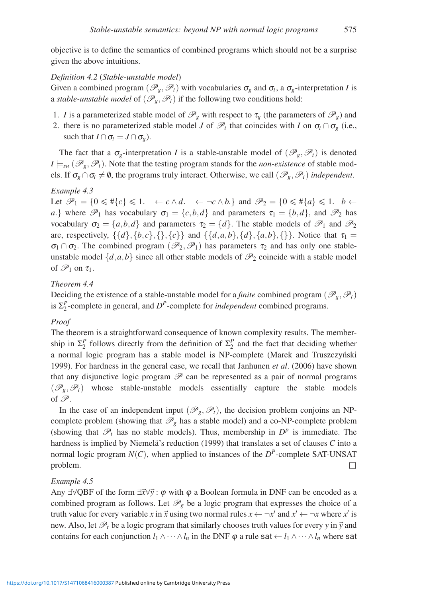objective is to define the semantics of combined programs which should not be a surprise given the above intuitions.

# *Definition 4.2* (*Stable-unstable model*)

Given a combined program  $(\mathcal{P}_g, \mathcal{P}_t)$  with vocabularies  $\sigma_g$  and  $\sigma_t$ , a  $\sigma_g$ -interpretation *I* is a *stable-unstable model* of  $(\mathcal{P}_{g}, \mathcal{P}_{t})$  if the following two conditions hold:

- 1. *I* is a parameterized stable model of  $\mathcal{P}_g$  with respect to  $\tau_g$  (the parameters of  $\mathcal{P}_g$ ) and
- 2. there is no parameterized stable model *J* of  $\mathcal{P}_t$  that coincides with *I* on  $\sigma_t \cap \sigma_g$  (i.e., such that  $I \cap \sigma_t = J \cap \sigma_\varrho$ ).

The fact that a  $\sigma_g$ -interpretation *I* is a stable-unstable model of  $(\mathscr{P}_g, \mathscr{P}_t)$  is denoted  $I \models_{\textit{su}} (\mathscr{P}_{g}, \mathscr{P}_{t})$ . Note that the testing program stands for the *non-existence* of stable models. If  $\sigma_g \cap \sigma_t \neq \emptyset$ , the programs truly interact. Otherwise, we call  $(\mathscr{P}_g, \mathscr{P}_t)$  *independent*.

#### *Example 4.3*

Let  $\mathscr{P}_1 = \{0 \leq \#\{c\} \leq 1. \leftarrow c \wedge d. \leftarrow \neg c \wedge b.\}$  and  $\mathscr{P}_2 = \{0 \leq \#\{a\} \leq 1. \leftarrow \leftarrow \{0\} \wedge d.$ *a*.} where  $\mathcal{P}_1$  has vocabulary  $\sigma_1 = \{c, b, d\}$  and parameters  $\tau_1 = \{b, d\}$ , and  $\mathcal{P}_2$  has vocabulary  $\sigma_2 = \{a, b, d\}$  and parameters  $\tau_2 = \{d\}$ . The stable models of  $\mathcal{P}_1$  and  $\mathcal{P}_2$ are, respectively,  $\{\{d\}, \{b, c\}, \{\}, \{c\}\}\$  and  $\{\{d, a, b\}, \{d\}, \{a, b\}, \{\}\}\$ . Notice that  $\tau_1 =$  $\sigma_1 \cap \sigma_2$ . The combined program  $(\mathscr{P}_2, \mathscr{P}_1)$  has parameters  $\tau_2$  and has only one stableunstable model  $\{d, a, b\}$  since all other stable models of  $\mathcal{P}_2$  coincide with a stable model of  $\mathcal{P}_1$  on  $\tau_1$ .

# *Theorem 4.4*

Deciding the existence of a stable-unstable model for a *finite* combined program ( $\mathcal{P}_g$ ,  $\mathcal{P}_t$ ) is  $\Sigma_2^P$ -complete in general, and  $D^P$ -complete for *independent* combined programs.

# *Proof*

The theorem is a straightforward consequence of known complexity results. The membership in  $\Sigma_2^P$  follows directly from the definition of  $\Sigma_2^P$  and the fact that deciding whether a normal logic program has a stable model is NP-complete (Marek and Truszczyński 1999). For hardness in the general case, we recall that Janhunen *et al*. (2006) have shown that any disjunctive logic program  $\mathscr P$  can be represented as a pair of normal programs  $(\mathscr{P}_g, \mathscr{P}_t)$  whose stable-unstable models essentially capture the stable models of  $\mathscr{P}$ .

In the case of an independent input  $(\mathcal{P}_g, \mathcal{P}_t)$ , the decision problem conjoins an NPcomplete problem (showing that  $\mathcal{P}_g$  has a stable model) and a co-NP-complete problem (showing that  $\mathscr{P}_t$  has no stable models). Thus, membership in  $D^p$  is immediate. The hardness is implied by Niemela's reduction  $(1999)$  that translates a set of clauses  $C$  into a normal logic program  $N(C)$ , when applied to instances of the  $D^P$ -complete SAT-UNSAT  $\Box$  $\Box$ 

# *Example 4.5*

Any ∃∀QBF of the form  $\exists \vec{x} \forall \vec{y} : \varphi$  with  $\varphi$  a Boolean formula in DNF can be encoded as a combined program as follows. Let  $\mathcal{P}_g$  be a logic program that expresses the choice of a truth value for every variable *x* in  $\vec{x}$  using two normal rules  $x \leftarrow \neg x'$  and  $x' \leftarrow \neg x$  where  $x'$  is new. Also, let  $\mathscr{P}_t$  be a logic program that similarly chooses truth values for every *y* in  $\vec{y}$  and contains for each conjunction  $l_1 \wedge \cdots \wedge l_n$  in the DNF  $\varphi$  a rule sat  $\leftarrow l_1 \wedge \cdots \wedge l_n$  where sat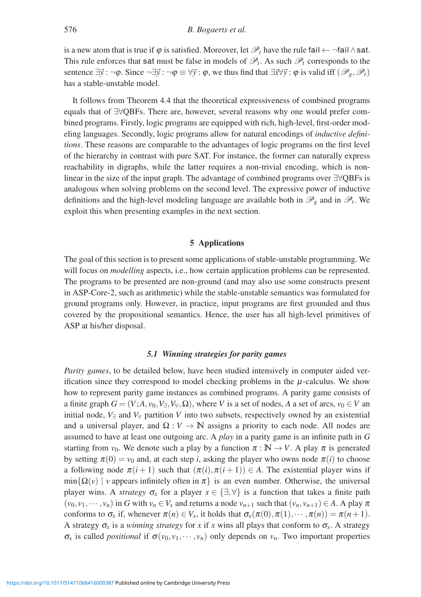is a new atom that is true if  $\varphi$  is satisfied. Moreover, let  $\mathscr{P}_t$  have the rule fail  $\leftarrow \neg \text{fail} \land \text{sat.}$ This rule enforces that sat must be false in models of  $\mathcal{P}_t$ . As such  $\mathcal{P}_t$  corresponds to the sentence  $\exists \vec{y} : \neg \varphi$ . Since  $\neg \exists \vec{y} : \neg \varphi \equiv \forall \vec{y} : \varphi$ , we thus find that  $\exists \vec{x} \forall \vec{y} : \varphi$  is valid iff  $(\mathscr{P}_g, \mathscr{P}_t)$ has a stable-unstable model.

It follows from Theorem 4.4 that the theoretical expressiveness of combined programs equals that of ∃∀QBFs. There are, however, several reasons why one would prefer combined programs. Firstly, logic programs are equipped with rich, high-level, first-order modeling languages. Secondly, logic programs allow for natural encodings of *inductive definitions*. These reasons are comparable to the advantages of logic programs on the first level of the hierarchy in contrast with pure SAT. For instance, the former can naturally express reachability in digraphs, while the latter requires a non-trivial encoding, which is nonlinear in the size of the input graph. The advantage of combined programs over ∃∀QBFs is analogous when solving problems on the second level. The expressive power of inductive definitions and the high-level modeling language are available both in  $\mathcal{P}_{g}$  and in  $\mathcal{P}_{t}$ . We exploit this when presenting examples in the next section.

# **5 Applications**

The goal of this section is to present some applications of stable-unstable programming. We will focus on *modelling* aspects, i.e., how certain application problems can be represented. The programs to be presented are non-ground (and may also use some constructs present in ASP-Core-2, such as arithmetic) while the stable-unstable semantics was formulated for ground programs only. However, in practice, input programs are first grounded and thus covered by the propositional semantics. Hence, the user has all high-level primitives of ASP at his/her disposal.

# *5.1 Winning strategies for parity games*

*Parity games*, to be detailed below, have been studied intensively in computer aided verification since they correspond to model checking problems in the  $\mu$ -calculus. We show how to represent parity game instances as combined programs. A parity game consists of a finite graph  $G = (V; A, v_0, V_1, V_0, \Omega)$ , where *V* is a set of nodes, *A* a set of arcs,  $v_0 \in V$  an initial node,  $V_{\exists}$  and  $V_{\forall}$  partition V into two subsets, respectively owned by an existential and a universal player, and  $\Omega: V \to \mathbb{N}$  assigns a priority to each node. All nodes are assumed to have at least one outgoing arc. A *play* in a parity game is an infinite path in *G* starting from  $v_0$ . We denote such a play by a function  $\pi : \mathbb{N} \to V$ . A play  $\pi$  is generated by setting  $\pi(0) = v_0$  and, at each step *i*, asking the player who owns node  $\pi(i)$  to choose a following node  $\pi(i+1)$  such that  $(\pi(i), \pi(i+1)) \in A$ . The existential player wins if  $\min{\{\Omega(v) \mid v\}}$  appears infinitely often in  $\pi\}$  is an even number. Otherwise, the universal player wins. A *strategy*  $\sigma_x$  for a player  $x \in \{\exists, \forall\}$  is a function that takes a finite path  $(v_0, v_1, \dots, v_n)$  in *G* with  $v_n \in V_x$  and returns a node  $v_{n+1}$  such that  $(v_n, v_{n+1}) \in A$ . A play  $\pi$ conforms to  $\sigma_x$  if, whenever  $\pi(n) \in V_x$ , it holds that  $\sigma_x(\pi(0), \pi(1), \dots, \pi(n)) = \pi(n+1)$ . A strategy  $\sigma_x$  is a *winning strategy* for *x* if *x* wins all plays that conform to  $\sigma_x$ . A strategy  $\sigma_x$  is called *positional* if  $\sigma(v_0, v_1, \dots, v_n)$  only depends on  $v_n$ . Two important properties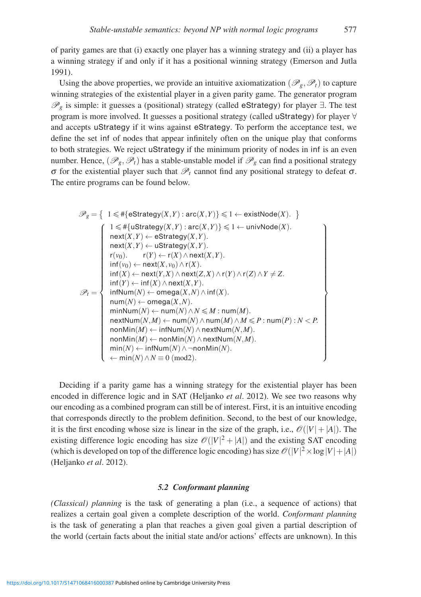of parity games are that (i) exactly one player has a winning strategy and (ii) a player has a winning strategy if and only if it has a positional winning strategy (Emerson and Jutla 1991).

Using the above properties, we provide an intuitive axiomatization ( $\mathcal{P}_g$ ,  $\mathcal{P}_t$ ) to capture winning strategies of the existential player in a given parity game. The generator program  $\mathscr{P}_{g}$  is simple: it guesses a (positional) strategy (called eStrategy) for player  $\exists$ . The test program is more involved. It guesses a positional strategy (called uStrategy) for player ∀ and accepts uStrategy if it wins against eStrategy. To perform the acceptance test, we define the set inf of nodes that appear infinitely often on the unique play that conforms to both strategies. We reject uStrategy if the minimum priority of nodes in inf is an even number. Hence,  $(\mathscr{P}_g, \mathscr{P}_t)$  has a stable-unstable model if  $\mathscr{P}_g$  can find a positional strategy σ for the existential player such that  $\mathcal{P}_t$  cannot find any positional strategy to defeat σ. The entire programs can be found below.

$$
\mathscr{P}_g = \left\{ \begin{array}{l} 1 \leqslant \#\{\texttt{eStrategy}(X,Y): \texttt{arc}(X,Y)\} \leqslant 1 \leftarrow \texttt{existNode}(X). \end{array} \right\} \\ \begin{array}{l} 1 \leqslant \#\{\texttt{uStrategy}(X,Y): \texttt{arc}(X,Y)\} \leqslant 1 \leftarrow \texttt{univNode}(X). \\ \texttt{next}(X,Y) \leftarrow \texttt{eStrategy}(X,Y). \\ \texttt{next}(X,Y) \leftarrow \texttt{uStrategy}(X,Y). \\ \\ \texttt{r}(v_0). \qquad \texttt{r}(Y) \leftarrow \texttt{r}(X) \wedge \texttt{next}(X,Y). \\ \\ \texttt{inf}(v_0) \leftarrow \texttt{next}(X,v_0) \wedge \texttt{r}(X). \\ \\ \texttt{inf}(Y) \leftarrow \texttt{next}(Y,X) \wedge \texttt{next}(Z,X) \wedge \texttt{r}(Y) \wedge \texttt{r}(Z) \wedge Y \neq Z. \\ \\ \texttt{inf}(Y) \leftarrow \texttt{inf}(X) \wedge \texttt{next}(X,Y). \\ \\ \texttt{num}(N) \leftarrow \texttt{omega}(X,N). \\ \\ \texttt{num}(N) \leftarrow \texttt{omega}(N) \wedge N \leqslant M: \texttt{num}(M). \\ \\ \texttt{nextNum}(N,M) \leftarrow \texttt{num}(N) \wedge \texttt{newNum}(M). \\ \\ \texttt{newNum}(M) \leftarrow \texttt{infNum}(N) \wedge \texttt{nextNum}(N,M). \\ \\ \texttt{nonMin}(M) \leftarrow \texttt{infNum}(N) \wedge \texttt{nextNum}(N,M). \\ \\ \texttt{min}(N) \leftarrow \texttt{infNum}(N) \wedge \texttt{monMin}(N). \\ \\ \leftarrow \texttt{min}(N) \wedge N \equiv 0 \ (\texttt{mod} 2). \end{array} \right\}
$$

Deciding if a parity game has a winning strategy for the existential player has been encoded in difference logic and in SAT (Heljanko *et al*. 2012). We see two reasons why our encoding as a combined program can still be of interest. First, it is an intuitive encoding that corresponds directly to the problem definition. Second, to the best of our knowledge, it is the first encoding whose size is linear in the size of the graph, i.e.,  $\mathcal{O}(|V|+|A|)$ . The existing difference logic encoding has size  $\mathcal{O}(|V|^2 + |A|)$  and the existing SAT encoding (which is developed on top of the difference logic encoding) has size  $\mathcal{O}(|V|^2 \times \log |V| + |A|)$ (Heljanko *et al*. 2012).

# *5.2 Conformant planning*

*(Classical) planning* is the task of generating a plan (i.e., a sequence of actions) that realizes a certain goal given a complete description of the world. *Conformant planning* is the task of generating a plan that reaches a given goal given a partial description of the world (certain facts about the initial state and/or actions' effects are unknown). In this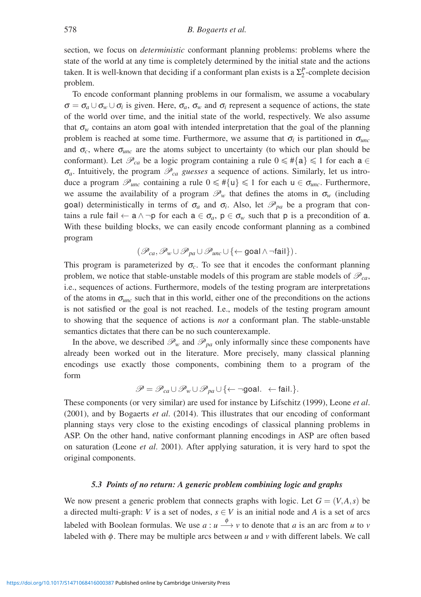section, we focus on *deterministic* conformant planning problems: problems where the state of the world at any time is completely determined by the initial state and the actions taken. It is well-known that deciding if a conformant plan exists is a  $\Sigma_2^P$ -complete decision problem.

To encode conformant planning problems in our formalism, we assume a vocabulary  $\sigma = \sigma_a \cup \sigma_w \cup \sigma_i$  is given. Here,  $\sigma_a$ ,  $\sigma_w$  and  $\sigma_i$  represent a sequence of actions, the state of the world over time, and the initial state of the world, respectively. We also assume that  $\sigma_w$  contains an atom goal with intended interpretation that the goal of the planning problem is reached at some time. Furthermore, we assume that  $\sigma_i$  is partitioned in  $\sigma_{unc}$ and  $\sigma_c$ , where  $\sigma_{unc}$  are the atoms subject to uncertainty (to which our plan should be conformant). Let  $\mathcal{P}_{ca}$  be a logic program containing a rule  $0 \leq \#\{a\} \leq 1$  for each  $a \in$  $\sigma_a$ . Intuitively, the program  $\mathcal{P}_{ca}$  *guesses* a sequence of actions. Similarly, let us introduce a program  $\mathscr{P}_{unc}$  containing a rule  $0 \leq \#\{u\} \leq 1$  for each  $u \in \sigma_{unc}$ . Furthermore, we assume the availability of a program  $\mathcal{P}_w$  that defines the atoms in  $\sigma_w$  (including goal) deterministically in terms of  $\sigma_a$  and  $\sigma_i$ . Also, let  $\mathscr{P}_{pa}$  be a program that contains a rule fail  $\leftarrow$  a  $\land$   $\neg$  p for each  $a \in \sigma_a$ ,  $p \in \sigma_w$  such that p is a precondition of a. With these building blocks, we can easily encode conformant planning as a combined program

$$
(\mathscr{P}_{ca},\mathscr{P}_{w}\cup\mathscr{P}_{pa}\cup\mathscr{P}_{unc}\cup\left\{ \leftarrow\textsf{goal}\wedge\neg\textsf{fail}\right\}).
$$

This program is parameterized by  $\sigma_c$ . To see that it encodes the conformant planning problem, we notice that stable-unstable models of this program are stable models of  $\mathcal{P}_{ca}$ , i.e., sequences of actions. Furthermore, models of the testing program are interpretations of the atoms in <sup>σ</sup>*unc* such that in this world, either one of the preconditions on the actions is not satisfied or the goal is not reached. I.e., models of the testing program amount to showing that the sequence of actions is *not* a conformant plan. The stable-unstable semantics dictates that there can be no such counterexample.

In the above, we described  $\mathcal{P}_w$  and  $\mathcal{P}_{pa}$  only informally since these components have already been worked out in the literature. More precisely, many classical planning encodings use exactly those components, combining them to a program of the form

$$
\mathscr{P} = \mathscr{P}_{ca} \cup \mathscr{P}_{w} \cup \mathscr{P}_{pa} \cup \{\leftarrow \neg goal. \leftarrow fail.\}.
$$

These components (or very similar) are used for instance by Lifschitz (1999), Leone *et al*. (2001), and by Bogaerts *et al*. (2014). This illustrates that our encoding of conformant planning stays very close to the existing encodings of classical planning problems in ASP. On the other hand, native conformant planning encodings in ASP are often based on saturation (Leone *et al*. 2001). After applying saturation, it is very hard to spot the original components.

# *5.3 Points of no return: A generic problem combining logic and graphs*

We now present a generic problem that connects graphs with logic. Let  $G = (V, A, s)$  be a directed multi-graph: *V* is a set of nodes,  $s \in V$  is an initial node and *A* is a set of arcs labeled with Boolean formulas. We use  $a : u \stackrel{\phi}{\longrightarrow} v$  to denote that *a* is an arc from *u* to *v* labeled with φ. There may be multiple arcs between *u* and *v* with different labels. We call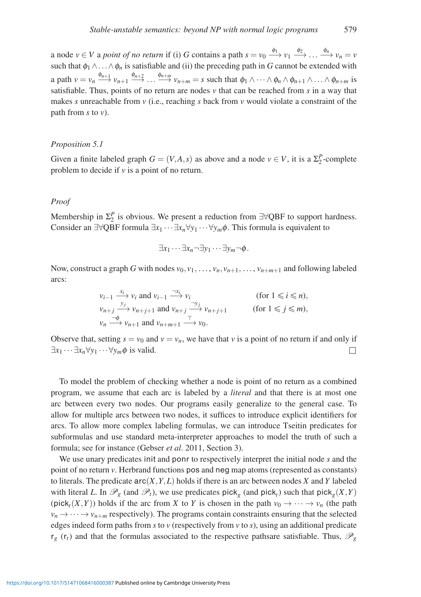a node  $v \in V$  a *point of no return* if (i) *G* contains a path  $s = v_0 \xrightarrow{\phi_1} v_1 \xrightarrow{\phi_2} \dots \xrightarrow{\phi_n} v_n = v$ such that  $\phi_1 \wedge \ldots \wedge \phi_n$  is satisfiable and (ii) the preceding path in *G* cannot be extended with a path  $v = v_n \xrightarrow{\phi_{n+1}} v_{n+1} \xrightarrow{\phi_{n+2}} \dots \xrightarrow{\phi_{n+m}} v_{n+m} = s$  such that  $\phi_1 \wedge \dots \wedge \phi_n \wedge \phi_{n+1} \wedge \dots \wedge \phi_{n+m}$  is satisfiable. Thus, points of no return are nodes *v* that can be reached from *s* in a way that makes *s* unreachable from *v* (i.e., reaching *s* back from *v* would violate a constraint of the path from *s* to *v*).

#### *Proposition 5.1*

Given a finite labeled graph  $G = (V, A, s)$  as above and a node  $v \in V$ , it is a  $\Sigma_2^P$ -complete problem to decide if *v* is a point of no return.

#### *Proof*

Membership in  $\Sigma_2^P$  is obvious. We present a reduction from  $\exists \forall QBF$  to support hardness. Consider an ∃∀QBF formula ∃*x*<sup>1</sup> ···∃*xn*∀*y*<sup>1</sup> ···∀*ym*φ. This formula is equivalent to

$$
\exists x_1 \cdots \exists x_n \neg \exists y_1 \cdots \exists y_m \neg \phi.
$$

Now, construct a graph G with nodes  $v_0, v_1, \ldots, v_n, v_{n+1}, \ldots, v_{n+m+1}$  and following labeled arcs:

$$
\begin{array}{ll}\n v_{i-1} & \xrightarrow{x_i} v_i \text{ and } v_{i-1} \xrightarrow{\neg x_i} v_i \\
v_{n+j} & \xrightarrow{y_j} v_{n+j+1} \text{ and } v_{n+j} \xrightarrow{\neg y_j} v_{n+j+1} \n \end{array} \qquad \text{(for } 1 \leq i \leq n),
$$
\n
$$
\begin{array}{ll}\n v_n & \xrightarrow{\neg \phi} v_{n+1} \text{ and } v_{n+m+1} \xrightarrow{\top} v_0.\n \end{array}
$$

Observe that, setting  $s = v_0$  and  $v = v_n$ , we have that *v* is a point of no return if and only if  $\exists x_1 \cdots \exists x_n \forall y_1 \cdots \forall y_m \phi$  is valid.  $\Box$ 

To model the problem of checking whether a node is point of no return as a combined program, we assume that each arc is labeled by a *literal* and that there is at most one arc between every two nodes. Our programs easily generalize to the general case. To allow for multiple arcs between two nodes, it suffices to introduce explicit identifiers for arcs. To allow more complex labeling formulas, we can introduce Tseitin predicates for subformulas and use standard meta-interpreter approaches to model the truth of such a formula; see for instance (Gebser *et al*. 2011, Section 3).

We use unary predicates init and ponr to respectively interpret the initial node *s* and the point of no return *v*. Herbrand functions pos and neg map atoms (represented as constants) to literals. The predicate  $\text{arc}(X, Y, L)$  holds if there is an arc between nodes *X* and *Y* labeled with literal *L*. In  $\mathcal{P}_g$  (and  $\mathcal{P}_t$ ), we use predicates pick<sub>*g*</sub> (and pick<sub>*t*</sub>) such that pick<sub>*g*</sub>(*X*,*Y*)  $(pick<sub>i</sub>(X,Y))$  holds if the arc from X to Y is chosen in the path  $v_0 \rightarrow \cdots \rightarrow v_n$  (the path  $v_n \to \cdots \to v_{n+m}$  respectively). The programs contain constraints ensuring that the selected edges indeed form paths from *s* to *v* (respectively from *v* to *s*), using an additional predicate  $r_g$  ( $r_t$ ) and that the formulas associated to the respective pathsare satisfiable. Thus,  $\mathcal{P}_g$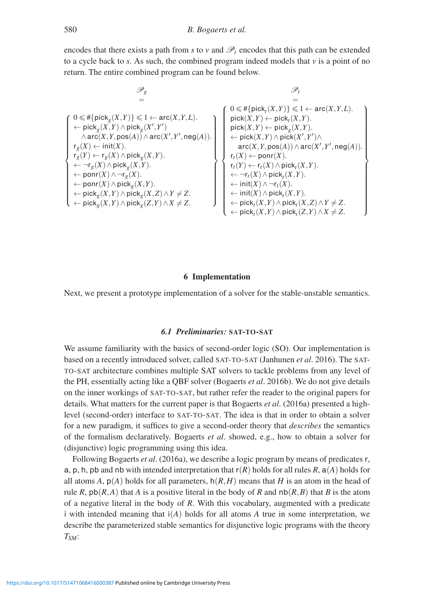encodes that there exists a path from *s* to *v* and  $\mathcal{P}_t$  encodes that this path can be extended to a cycle back to *s*. As such, the combined program indeed models that *v* is a point of no return. The entire combined program can be found below.

$$
\begin{array}{ll} \mathscr{P}_g & \mathscr{P}_t \\ = & = \\ \left\{ \begin{array}{ll} 0 \leqslant \# \{ \mathrm{pick}_g(X,Y) \} \leqslant 1 \leftarrow \mathrm{arc}(X,Y,L). \\ \leftarrow \mathrm{pick}_g(X,Y) \land \mathrm{pick}_g(X',Y') \\ \land \mathrm{arc}(X,Y,\mathrm{pos}(A)) \land \mathrm{arc}(X',Y',\mathrm{neg}(A)) . \\ r_g(X) \leftarrow \mathrm{init}(X). \\ r_g(Y) \leftarrow r_g(X) \land \mathrm{pick}_g(X,Y). \\ \leftarrow \mathrm{norm}(X) \land \mathrm{pick}_g(X,Y). \\ \leftarrow \mathrm{ponr}(X) \land \mathrm{pick}_g(X,Y). \\ \leftarrow \mathrm{ponr}(X) \land \mathrm{pick}_g(X,Y). \\ \leftarrow \mathrm{porr}(X) \land \mathrm{pick}_g(X,Y). \\ \leftarrow \mathrm{porr}(X) \land \mathrm{pick}_g(X,Y). \\ \leftarrow \mathrm{porr}(X) \land \mathrm{pick}_g(X,Y). \\ \leftarrow \mathrm{pior}(X) \land \mathrm{pick}_g(X,Y). \\ \leftarrow \mathrm{pick}_g(X,Y) \land \mathrm{pick}_g(X,Z) \land Y \neq Z. \\ \leftarrow \mathrm{pick}_g(X,Y) \land \mathrm{pick}_g(Z,Y) \land X \neq Z. \\ \leftarrow \mathrm{pick}_g(X,Y) \land \mathrm{pick}_g(Z,Y) \land X \neq Z. \\ \leftarrow \mathrm{pick}_g(X,Y) \land \mathrm{pick}_g(Z,Y) \land X \neq Z. \\ \leftarrow \mathrm{pick}_f(X,Y) \land \mathrm{pick}_f(X,Y) \land \mathrm{pick}_f(X,Y) \land X \neq Z. \end{array} \right\}
$$

#### **6 Implementation**

Next, we present a prototype implementation of a solver for the stable-unstable semantics.

# *6.1 Preliminaries:* **SAT-TO-SAT**

We assume familiarity with the basics of second-order logic (SO). Our implementation is based on a recently introduced solver, called SAT-TO-SAT (Janhunen *et al*. 2016). The SAT-TO-SAT architecture combines multiple SAT solvers to tackle problems from any level of the PH, essentially acting like a QBF solver (Bogaerts *et al*. 2016b). We do not give details on the inner workings of SAT-TO-SAT, but rather refer the reader to the original papers for details. What matters for the current paper is that Bogaerts *et al*. (2016a) presented a highlevel (second-order) interface to SAT-TO-SAT. The idea is that in order to obtain a solver for a new paradigm, it suffices to give a second-order theory that *describes* the semantics of the formalism declaratively. Bogaerts *et al*. showed, e.g., how to obtain a solver for (disjunctive) logic programming using this idea.

Following Bogaerts *et al*. (2016a), we describe a logic program by means of predicates r, a, p, h, pb and nb with intended interpretation that  $r(R)$  holds for all rules R,  $a(A)$  holds for all atoms *A*,  $p(A)$  holds for all parameters,  $h(R,H)$  means that *H* is an atom in the head of rule *R*,  $p\mathsf{b}(R,A)$  that *A* is a positive literal in the body of *R* and  $p(R,B)$  that *B* is the atom of a negative literal in the body of *R*. With this vocabulary, augmented with a predicate i with intended meaning that i(*A*) holds for all atoms *A* true in some interpretation, we describe the parameterized stable semantics for disjunctive logic programs with the theory *TSM*: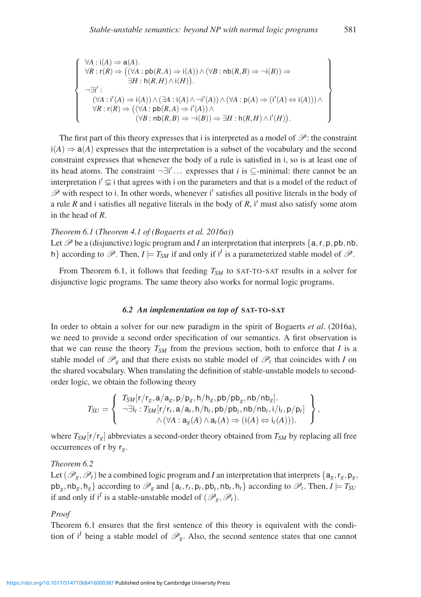$$
\forall A : i(A) \Rightarrow a(A). \n\forall R : r(R) \Rightarrow ((\forall A : pb(R, A) \Rightarrow i(A)) \land (\forall B : nb(R, B) \Rightarrow \neg i(B)) \Rightarrow \n\exists H : h(R, H) \land i(H)). \n(\forall A : i'(A) \Rightarrow i(A)) \land (\exists A : i(A) \land \neg i'(A)) \land (\forall A : p(A) \Rightarrow (i'(A) \Leftrightarrow i(A))) \land \n\forall R : r(R) \Rightarrow ((\forall A : pb(R, A) \Rightarrow i'(A)) \land \n(\forall B : nb(R, B) \Rightarrow \neg i(B)) \Rightarrow \exists H : h(R, H) \land i'(H)).
$$

The first part of this theory expresses that i is interpreted as a model of  $\mathscr{P}$ : the constraint  $i(A) \Rightarrow a(A)$  expresses that the interpretation is a subset of the vocabulary and the second constraint expresses that whenever the body of a rule is satisfied in i, so is at least one of its head atoms. The constraint  $\neg \exists i' \dots$  expresses that *i* is  $\subseteq$ -minimal: there cannot be an interpretation  $i' \subsetneq i$  that agrees with i on the parameters and that is a model of the reduct of  $\mathscr P$  with respect to i. In other words, whenever i' satisfies all positive literals in the body of a rule *R* and i satisfies all negative literals in the body of *R*, i' must also satisfy some atom in the head of *R*.

#### *Theorem 6.1* (*Theorem 4.1 of (Bogaerts et al. 2016a)*)

Let  $\mathscr P$  be a (disjunctive) logic program and *I* an interpretation that interprets  $\{a, r, p, pb, nb,$ h} according to  $\mathscr{P}$ . Then,  $I \models T_{SM}$  if and only if i<sup>*I*</sup> is a parameterized stable model of  $\mathscr{P}$ .

From Theorem 6.1, it follows that feeding  $T_{SM}$  to SAT-TO-SAT results in a solver for disjunctive logic programs. The same theory also works for normal logic programs.

# *6.2 An implementation on top of* **SAT-TO-SAT**

In order to obtain a solver for our new paradigm in the spirit of Bogaerts *et al*. (2016a), we need to provide a second order specification of our semantics. A first observation is that we can reuse the theory  $T_{SM}$  from the previous section, both to enforce that *I* is a stable model of  $\mathcal{P}_g$  and that there exists no stable model of  $\mathcal{P}_t$  that coincides with *I* on the shared vocabulary. When translating the definition of stable-unstable models to secondorder logic, we obtain the following theory

$$
T_{SU} = \left\{ \begin{array}{c} T_{SM}[r/r_g, \mathbf{a}/\mathbf{a}_g, \mathsf{p}/\mathsf{p}_g, \mathsf{h}/\mathsf{h}_g, \mathsf{pb}/\mathsf{pb}_g, \mathsf{nb}/\mathsf{nb}_g]. \\ \neg \exists \mathsf{i}_t : T_{SM}[r/r_t, \mathbf{a}/\mathbf{a}_t, \mathsf{h}/\mathsf{h}_t, \mathsf{pb}/\mathsf{pb}_t, \mathsf{nb}/\mathsf{nb}_t, \mathsf{i}/\mathsf{i}_t, \mathsf{p}/\mathsf{p}_t] \\ \wedge (\forall A : \mathbf{a}_g(A) \wedge \mathbf{a}_t(A) \Rightarrow (\mathsf{i}(A) \Leftrightarrow \mathsf{i}_t(A))). \end{array} \right\},
$$

where  $T_{SM}[r/r_g]$  abbreviates a second-order theory obtained from  $T_{SM}$  by replacing all free occurrences of r by r*g*.

# *Theorem 6.2*

 $\sqrt{ }$  $\int$ 

 $\begin{bmatrix} \frac{1}{2} & \frac{1}{2} & \frac{1}{2} & \frac{1}{2} & \frac{1}{2} & \frac{1}{2} & \frac{1}{2} & \frac{1}{2} & \frac{1}{2} & \frac{1}{2} & \frac{1}{2} & \frac{1}{2} & \frac{1}{2} & \frac{1}{2} & \frac{1}{2} & \frac{1}{2} & \frac{1}{2} & \frac{1}{2} & \frac{1}{2} & \frac{1}{2} & \frac{1}{2} & \frac{1}{2} & \frac{1}{2} & \frac{1}{2} & \frac{1}{2} & \frac{1}{2} & \frac{1}{2$ 

Let  $(\mathscr{P}_g, \mathscr{P}_t)$  be a combined logic program and *I* an interpretation that interprets  $\{a_g, r_g, p_g,$  $p\{b_g, nb_g, h_g\}$  according to  $\mathcal{P}_g$  and  $\{a_t, r_t, p_t, pb_t, nb_t, h_t\}$  according to  $\mathcal{P}_t$ . Then,  $I \models T_{SU}$ if and only if  $i^I$  is a stable-unstable model of  $(\mathscr{P}_g, \mathscr{P}_t)$ .

#### *Proof*

Theorem 6.1 ensures that the first sentence of this theory is equivalent with the condition of *i*<sup>*I*</sup> being a stable model of  $\mathcal{P}_g$ . Also, the second sentence states that one cannot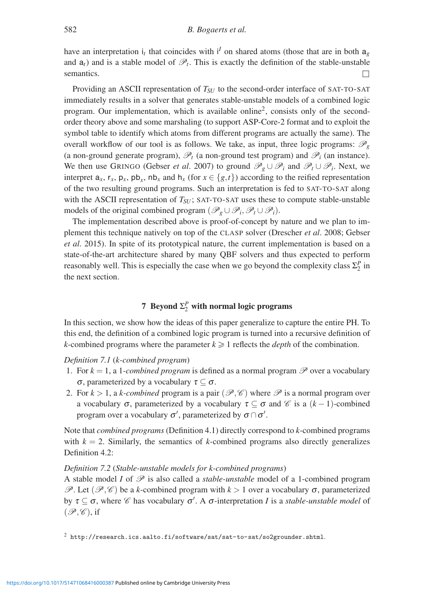have an interpretation  $i_t$  that coincides with  $i^I$  on shared atoms (those that are in both  $a_g$ and  $a_t$ ) and is a stable model of  $\mathcal{P}_t$ . This is exactly the definition of the stable-unstable semantics.  $\Box$ 

Providing an ASCII representation of *T<sub>SU</sub>* to the second-order interface of SAT-TO-SAT immediately results in a solver that generates stable-unstable models of a combined logic program. Our implementation, which is available online<sup>2</sup>, consists only of the secondorder theory above and some marshaling (to support ASP-Core-2 format and to exploit the symbol table to identify which atoms from different programs are actually the same). The overall workflow of our tool is as follows. We take, as input, three logic programs:  $\mathcal{P}_g$ (a non-ground generate program),  $\mathscr{P}_t$  (a non-ground test program) and  $\mathscr{P}_i$  (an instance). We then use GRINGO (Gebser *et al.* 2007) to ground  $\mathscr{P}_g \cup \mathscr{P}_i$  and  $\mathscr{P}_t \cup \mathscr{P}_i$ . Next, we interpret  $a_x$ ,  $r_x$ ,  $p_x$ ,  $pb_x$ ,  $nb_x$  and  $h_x$  (for  $x \in \{g, t\}$ ) according to the reified representation of the two resulting ground programs. Such an interpretation is fed to SAT-TO-SAT along with the ASCII representation of  $T_{SU}$ ; SAT-TO-SAT uses these to compute stable-unstable models of the original combined program  $(\mathscr{P}_g \cup \mathscr{P}_i, \mathscr{P}_t \cup \mathscr{P}_i)$ .

The implementation described above is proof-of-concept by nature and we plan to implement this technique natively on top of the CLASP solver (Drescher *et al*. 2008; Gebser *et al*. 2015). In spite of its prototypical nature, the current implementation is based on a state-of-the-art architecture shared by many QBF solvers and thus expected to perform reasonably well. This is especially the case when we go beyond the complexity class  $\Sigma_2^P$  in the next section.

# **7** Beyond  $\Sigma_2^P$  with normal logic programs

In this section, we show how the ideas of this paper generalize to capture the entire PH. To this end, the definition of a combined logic program is turned into a recursive definition of *k*-combined programs where the parameter  $k \geq 1$  reflects the *depth* of the combination.

# *Definition 7.1* (*k-combined program*)

- 1. For  $k = 1$ , a 1-*combined program* is defined as a normal program  $P$  over a vocabulary <sup>σ</sup>, parameterized by a vocabulary <sup>τ</sup> ⊆ <sup>σ</sup>.
- 2. For  $k > 1$ , a *k-combined* program is a pair  $(\mathcal{P}, \mathcal{C})$  where  $\mathcal P$  is a normal program over a vocabulary  $\sigma$ , parameterized by a vocabulary  $\tau \subseteq \sigma$  and  $\mathscr C$  is a  $(k-1)$ -combined program over a vocabulary  $\sigma'$ , parameterized by  $\sigma \cap \sigma'$ .

Note that *combined programs* (Definition 4.1) directly correspond to *k*-combined programs with  $k = 2$ . Similarly, the semantics of *k*-combined programs also directly generalizes Definition 4.2:

# *Definition 7.2* (*Stable-unstable models for k-combined programs*)

A stable model *I* of  $\mathcal{P}$  is also called a *stable-unstable* model of a 1-combined program P. Let  $(\mathscr{P}, \mathscr{C})$  be a *k*-combined program with  $k > 1$  over a vocabulary  $\sigma$ , parameterized by  $\tau \subseteq \sigma$ , where  $\mathscr C$  has vocabulary  $\sigma'$ . A  $\sigma$ -interpretation *I* is a *stable-unstable model* of  $(\mathscr{P}, \mathscr{C})$ , if

<sup>2</sup> http://research.ics.aalto.fi/software/sat/sat-to-sat/so2grounder.shtml.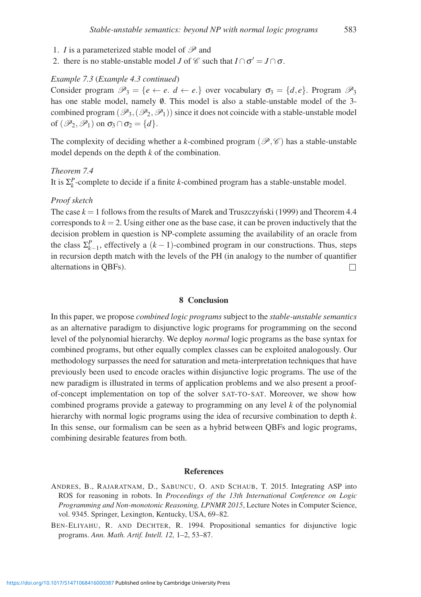- 1. *I* is a parameterized stable model of  $\mathscr P$  and
- 2. there is no stable-unstable model *J* of  $\mathscr C$  such that  $I \cap \sigma' = J \cap \sigma$ .

#### *Example 7.3* (*Example 4.3 continued*)

Consider program  $\mathcal{P}_3 = \{e \leftarrow e \cdot d \leftarrow e\}$  over vocabulary  $\sigma_3 = \{d, e\}$ . Program  $\mathcal{P}_3$ has one stable model, namely  $\emptyset$ . This model is also a stable-unstable model of the 3combined program  $(\mathscr{P}_3,(\mathscr{P}_2,\mathscr{P}_1))$  since it does not coincide with a stable-unstable model of  $(\mathscr{P}_2, \mathscr{P}_1)$  on  $\sigma_3 \cap \sigma_2 = \{d\}.$ 

The complexity of deciding whether a *k*-combined program ( $\mathscr{P}, \mathscr{C}$ ) has a stable-unstable model depends on the depth *k* of the combination.

# *Theorem 7.4*

It is  $\Sigma_k^P$ -complete to decide if a finite *k*-combined program has a stable-unstable model.

# *Proof sketch*

The case  $k = 1$  follows from the results of Marek and Truszczynski (1999) and Theorem 4.4 corresponds to  $k = 2$ . Using either one as the base case, it can be proven inductively that the decision problem in question is NP-complete assuming the availability of an oracle from the class  $\Sigma_{k-1}^P$ , effectively a  $(k-1)$ -combined program in our constructions. Thus, steps in recursion depth match with the levels of the PH (in analogy to the number of quantifier alternations in QBFs).  $\Box$ 

# **8 Conclusion**

In this paper, we propose *combined logic programs* subject to the *stable-unstable semantics* as an alternative paradigm to disjunctive logic programs for programming on the second level of the polynomial hierarchy. We deploy *normal* logic programs as the base syntax for combined programs, but other equally complex classes can be exploited analogously. Our methodology surpasses the need for saturation and meta-interpretation techniques that have previously been used to encode oracles within disjunctive logic programs. The use of the new paradigm is illustrated in terms of application problems and we also present a proofof-concept implementation on top of the solver SAT-TO-SAT. Moreover, we show how combined programs provide a gateway to programming on any level *k* of the polynomial hierarchy with normal logic programs using the idea of recursive combination to depth *k*. In this sense, our formalism can be seen as a hybrid between QBFs and logic programs, combining desirable features from both.

#### **References**

- ANDRES, B., RAJARATNAM, D., SABUNCU, O. AND SCHAUB, T. 2015. Integrating ASP into ROS for reasoning in robots. In *Proceedings of the 13th International Conference on Logic Programming and Non-monotonic Reasoning, LPNMR 2015*, Lecture Notes in Computer Science, vol. 9345. Springer, Lexington, Kentucky, USA, 69–82.
- BEN-ELIYAHU, R. AND DECHTER, R. 1994. Propositional semantics for disjunctive logic programs. *Ann. Math. Artif. Intell. 12,* 1–2, 53–87.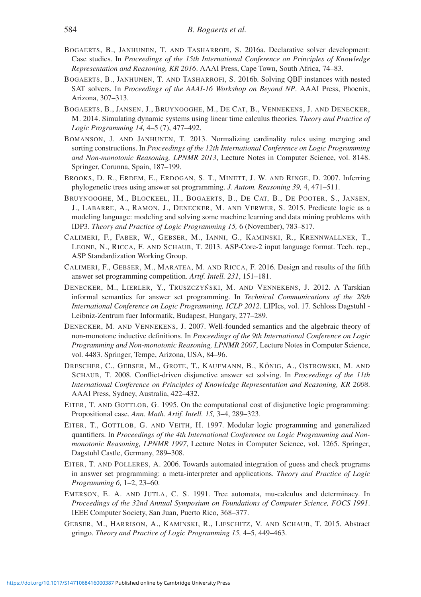- BOGAERTS, B., JANHUNEN, T. AND TASHARROFI, S. 2016a. Declarative solver development: Case studies. In *Proceedings of the 15th International Conference on Principles of Knowledge Representation and Reasoning, KR 2016*. AAAI Press, Cape Town, South Africa, 74–83.
- BOGAERTS, B., JANHUNEN, T. AND TASHARROFI, S. 2016b. Solving QBF instances with nested SAT solvers. In *Proceedings of the AAAI-16 Workshop on Beyond NP*. AAAI Press, Phoenix, Arizona, 307–313.
- BOGAERTS, B., JANSEN, J., BRUYNOOGHE, M., DE CAT, B., VENNEKENS, J. AND DENECKER, M. 2014. Simulating dynamic systems using linear time calculus theories. *Theory and Practice of Logic Programming 14,* 4–5 (7), 477–492.
- BOMANSON, J. AND JANHUNEN, T. 2013. Normalizing cardinality rules using merging and sorting constructions. In *Proceedings of the 12th International Conference on Logic Programming and Non-monotonic Reasoning, LPNMR 2013*, Lecture Notes in Computer Science, vol. 8148. Springer, Corunna, Spain, 187–199.
- BROOKS, D. R., ERDEM, E., ERDOGAN, S. T., MINETT, J. W. AND RINGE, D. 2007. Inferring phylogenetic trees using answer set programming. *J. Autom. Reasoning 39,* 4, 471–511.
- BRUYNOOGHE, M., BLOCKEEL, H., BOGAERTS, B., DE CAT, B., DE POOTER, S., JANSEN, J., LABARRE, A., RAMON, J., DENECKER, M. AND VERWER, S. 2015. Predicate logic as a modeling language: modeling and solving some machine learning and data mining problems with IDP3. *Theory and Practice of Logic Programming 15,* 6 (November), 783–817.
- CALIMERI, F., FABER, W., GEBSER, M., IANNI, G., KAMINSKI, R., KRENNWALLNER, T., LEONE, N., RICCA, F. AND SCHAUB, T. 2013. ASP-Core-2 input language format. Tech. rep., ASP Standardization Working Group.
- CALIMERI, F., GEBSER, M., MARATEA, M. AND RICCA, F. 2016. Design and results of the fifth answer set programming competition. *Artif. Intell. 231*, 151–181.
- DENECKER, M., LIERLER, Y., TRUSZCZYŃSKI, M. AND VENNEKENS, J. 2012. A Tarskian informal semantics for answer set programming. In *Technical Communications of the 28th International Conference on Logic Programming, ICLP 2012*. LIPIcs, vol. 17. Schloss Dagstuhl - Leibniz-Zentrum fuer Informatik, Budapest, Hungary, 277–289.
- DENECKER, M. AND VENNEKENS, J. 2007. Well-founded semantics and the algebraic theory of non-monotone inductive definitions. In *Proceedings of the 9th International Conference on Logic Programming and Non-monotonic Reasoning, LPNMR 2007*, Lecture Notes in Computer Science, vol. 4483. Springer, Tempe, Arizona, USA, 84–96.
- DRESCHER, C., GEBSER, M., GROTE, T., KAUFMANN, B., KÖNIG, A., OSTROWSKI, M. AND SCHAUB, T. 2008. Conflict-driven disjunctive answer set solving. In *Proceedings of the 11th International Conference on Principles of Knowledge Representation and Reasoning, KR 2008*. AAAI Press, Sydney, Australia, 422–432.
- EITER, T. AND GOTTLOB, G. 1995. On the computational cost of disjunctive logic programming: Propositional case. *Ann. Math. Artif. Intell. 15,* 3–4, 289–323.
- EITER, T., GOTTLOB, G. AND VEITH, H. 1997. Modular logic programming and generalized quantifiers. In *Proceedings of the 4th International Conference on Logic Programming and Nonmonotonic Reasoning, LPNMR 1997*, Lecture Notes in Computer Science, vol. 1265. Springer, Dagstuhl Castle, Germany, 289–308.
- EITER, T. AND POLLERES, A. 2006. Towards automated integration of guess and check programs in answer set programming: a meta-interpreter and applications. *Theory and Practice of Logic Programming 6,* 1–2, 23–60.
- EMERSON, E. A. AND JUTLA, C. S. 1991. Tree automata, mu-calculus and determinacy. In *Proceedings of the 32nd Annual Symposium on Foundations of Computer Science, FOCS 1991*. IEEE Computer Society, San Juan, Puerto Rico, 368–377.
- GEBSER, M., HARRISON, A., KAMINSKI, R., LIFSCHITZ, V. AND SCHAUB, T. 2015. Abstract gringo. *Theory and Practice of Logic Programming 15,* 4–5, 449–463.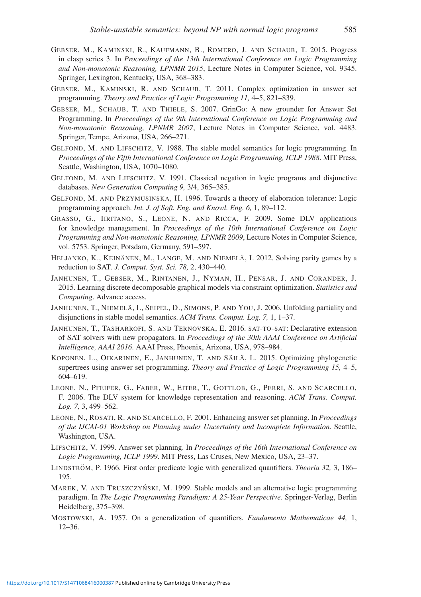- GEBSER, M., KAMINSKI, R., KAUFMANN, B., ROMERO, J. AND SCHAUB, T. 2015. Progress in clasp series 3. In *Proceedings of the 13th International Conference on Logic Programming and Non-monotonic Reasoning, LPNMR 2015*, Lecture Notes in Computer Science, vol. 9345. Springer, Lexington, Kentucky, USA, 368–383.
- GEBSER, M., KAMINSKI, R. AND SCHAUB, T. 2011. Complex optimization in answer set programming. *Theory and Practice of Logic Programming 11,* 4–5, 821–839.
- GEBSER, M., SCHAUB, T. AND THIELE, S. 2007. GrinGo: A new grounder for Answer Set Programming. In *Proceedings of the 9th International Conference on Logic Programming and Non-monotonic Reasoning, LPNMR 2007*, Lecture Notes in Computer Science, vol. 4483. Springer, Tempe, Arizona, USA, 266–271.
- GELFOND, M. AND LIFSCHITZ, V. 1988. The stable model semantics for logic programming. In *Proceedings of the Fifth International Conference on Logic Programming, ICLP 1988*. MIT Press, Seattle, Washington, USA, 1070–1080.
- GELFOND, M. AND LIFSCHITZ, V. 1991. Classical negation in logic programs and disjunctive databases. *New Generation Computing 9,* 3/4, 365–385.
- GELFOND, M. AND PRZYMUSINSKA, H. 1996. Towards a theory of elaboration tolerance: Logic programming approach. *Int. J. of Soft. Eng. and Knowl. Eng. 6,* 1, 89–112.
- GRASSO, G., IIRITANO, S., LEONE, N. AND RICCA, F. 2009. Some DLV applications for knowledge management. In *Proceedings of the 10th International Conference on Logic Programming and Non-monotonic Reasoning, LPNMR 2009*, Lecture Notes in Computer Science, vol. 5753. Springer, Potsdam, Germany, 591–597.
- HELJANKO, K., KEINÄNEN, M., LANGE, M. AND NIEMELÄ, I. 2012. Solving parity games by a reduction to SAT. *J. Comput. Syst. Sci. 78,* 2, 430–440.
- JANHUNEN, T., GEBSER, M., RINTANEN, J., NYMAN, H., PENSAR, J. AND CORANDER, J. 2015. Learning discrete decomposable graphical models via constraint optimization. *Statistics and Computing*. Advance access.
- JANHUNEN, T., NIEMELÄ, I., SEIPEL, D., SIMONS, P. AND YOU, J. 2006. Unfolding partiality and disjunctions in stable model semantics. *ACM Trans. Comput. Log. 7,* 1, 1–37.
- JANHUNEN, T., TASHARROFI, S. AND TERNOVSKA, E. 2016. SAT-TO-SAT: Declarative extension of SAT solvers with new propagators. In *Proceedings of the 30th AAAI Conference on Artificial Intelligence, AAAI 2016*. AAAI Press, Phoenix, Arizona, USA, 978–984.
- KOPONEN, L., OIKARINEN, E., JANHUNEN, T. AND SÄILÄ, L. 2015. Optimizing phylogenetic supertrees using answer set programming. *Theory and Practice of Logic Programming 15,* 4–5, 604–619.
- LEONE, N., PFEIFER, G., FABER, W., EITER, T., GOTTLOB, G., PERRI, S. AND SCARCELLO, F. 2006. The DLV system for knowledge representation and reasoning. *ACM Trans. Comput. Log. 7,* 3, 499–562.
- LEONE, N., ROSATI, R. AND SCARCELLO, F. 2001. Enhancing answer set planning. In *Proceedings of the IJCAI-01 Workshop on Planning under Uncertainty and Incomplete Information*. Seattle, Washington, USA.
- LIFSCHITZ, V. 1999. Answer set planning. In *Proceedings of the 16th International Conference on Logic Programming, ICLP 1999*. MIT Press, Las Cruses, New Mexico, USA, 23–37.
- LINDSTRÖM, P. 1966. First order predicate logic with generalized quantifiers. *Theoria 32*, 3, 186– 195.
- MAREK, V. AND TRUSZCZYŃSKI, M. 1999. Stable models and an alternative logic programming paradigm. In *The Logic Programming Paradigm: A 25-Year Perspective*. Springer-Verlag, Berlin Heidelberg, 375–398.
- MOSTOWSKI, A. 1957. On a generalization of quantifiers. *Fundamenta Mathematicae 44,* 1, 12–36.